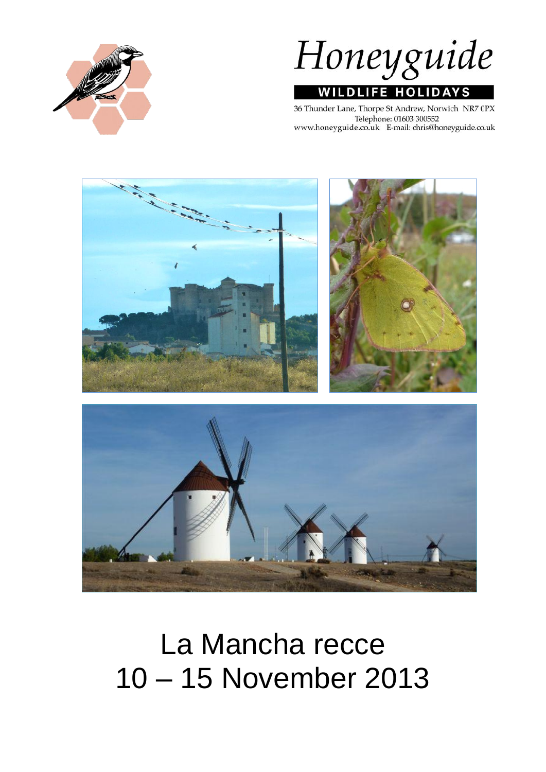



36 Thunder Lane, Thorpe St Andrew, Norwich NR7 0PX Telephone: 01603 300552 www.honeyguide.co.uk E-mail: chris@honeyguide.co.uk



# La Mancha recce 10 – 15 November 2013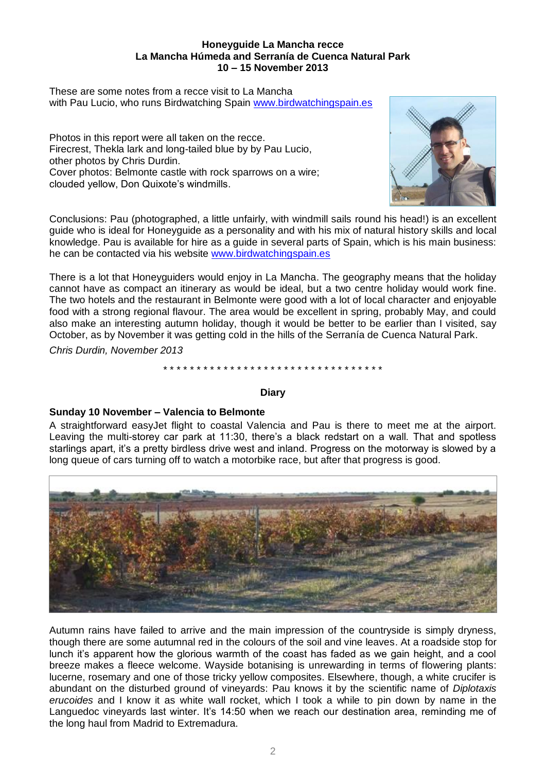#### **Honeyguide La Mancha recce La Mancha Húmeda and Serranía de Cuenca Natural Park 10 – 15 November 2013**

These are some notes from a recce visit to La Mancha with Pau Lucio, who runs Birdwatching Spain [www.birdwatchingspain.es](http://www.birdwatchingspain.es/)

Photos in this report were all taken on the recce. Firecrest, Thekla lark and long-tailed blue by by Pau Lucio, other photos by Chris Durdin. Cover photos: Belmonte castle with rock sparrows on a wire; clouded yellow, Don Quixote's windmills.



Conclusions: Pau (photographed, a little unfairly, with windmill sails round his head!) is an excellent guide who is ideal for Honeyguide as a personality and with his mix of natural history skills and local knowledge. Pau is available for hire as a guide in several parts of Spain, which is his main business: he can be contacted via his website [www.birdwatchingspain.es](http://www.birdwatchingspain.es/)

There is a lot that Honeyguiders would enjoy in La Mancha. The geography means that the holiday cannot have as compact an itinerary as would be ideal, but a two centre holiday would work fine. The two hotels and the restaurant in Belmonte were good with a lot of local character and enjoyable food with a strong regional flavour. The area would be excellent in spring, probably May, and could also make an interesting autumn holiday, though it would be better to be earlier than I visited, say October, as by November it was getting cold in the hills of the Serranía de Cuenca Natural Park.

*Chris Durdin, November 2013*

\* \* \* \* \* \* \* \* \* \* \* \* \* \* \* \* \* \* \* \* \* \* \* \* \* \* \* \* \* \* \* \* \*

# **Diary**

# **Sunday 10 November – Valencia to Belmonte**

A straightforward easyJet flight to coastal Valencia and Pau is there to meet me at the airport. Leaving the multi-storey car park at 11:30, there's a black redstart on a wall. That and spotless starlings apart, it's a pretty birdless drive west and inland. Progress on the motorway is slowed by a long queue of cars turning off to watch a motorbike race, but after that progress is good.



Autumn rains have failed to arrive and the main impression of the countryside is simply dryness, though there are some autumnal red in the colours of the soil and vine leaves. At a roadside stop for lunch it's apparent how the glorious warmth of the coast has faded as we gain height, and a cool breeze makes a fleece welcome. Wayside botanising is unrewarding in terms of flowering plants: lucerne, rosemary and one of those tricky yellow composites. Elsewhere, though, a white crucifer is abundant on the disturbed ground of vineyards: Pau knows it by the scientific name of *Diplotaxis erucoides* and I know it as white wall rocket, which I took a while to pin down by name in the Languedoc vineyards last winter. It's 14:50 when we reach our destination area, reminding me of the long haul from Madrid to Extremadura.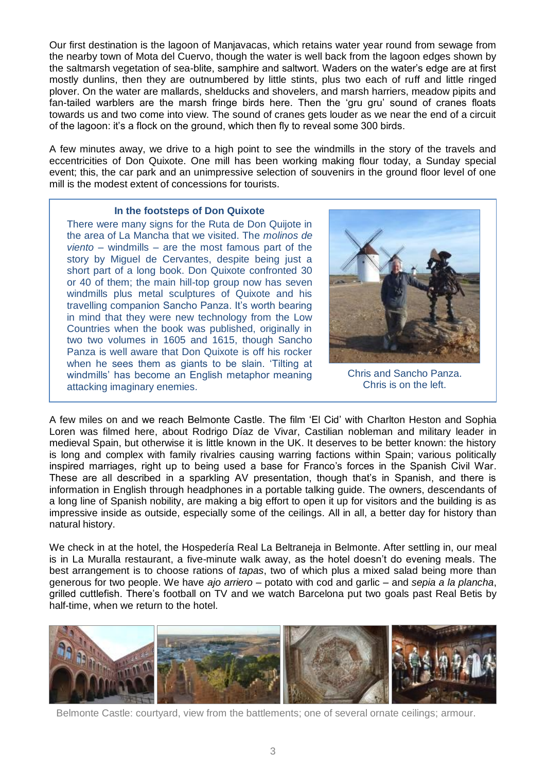Our first destination is the lagoon of Manjavacas, which retains water year round from sewage from the nearby town of Mota del Cuervo, though the water is well back from the lagoon edges shown by the saltmarsh vegetation of sea-blite, samphire and saltwort. Waders on the water's edge are at first mostly dunlins, then they are outnumbered by little stints, plus two each of ruff and little ringed plover. On the water are mallards, shelducks and shovelers, and marsh harriers, meadow pipits and fan-tailed warblers are the marsh fringe birds here. Then the 'gru gru' sound of cranes floats towards us and two come into view. The sound of cranes gets louder as we near the end of a circuit of the lagoon: it's a flock on the ground, which then fly to reveal some 300 birds.

A few minutes away, we drive to a high point to see the windmills in the story of the travels and eccentricities of Don Quixote. One mill has been working making flour today, a Sunday special event; this, the car park and an unimpressive selection of souvenirs in the ground floor level of one mill is the modest extent of concessions for tourists.

#### **In the footsteps of Don Quixote**

There were many signs for the Ruta de Don Quijote in the area of La Mancha that we visited. The *molinos de viento* – windmills – are the most famous part of the story by Miguel de Cervantes, despite being just a short part of a long book. Don Quixote confronted 30 or 40 of them; the main hill-top group now has seven windmills plus metal sculptures of Quixote and his travelling companion Sancho Panza. It's worth bearing in mind that they were new technology from the Low Countries when the book was published, originally in two two volumes in 1605 and 1615, though Sancho Panza is well aware that Don Quixote is off his rocker when he sees them as giants to be slain. 'Tilting at windmills' has become an English metaphor meaning attacking imaginary enemies.



Chris and Sancho Panza. Chris is on the left.

A few miles on and we reach Belmonte Castle. The film 'El Cid' with Charlton Heston and Sophia Loren was filmed here, about Rodrigo Díaz de Vivar, [Castilian](http://en.wikipedia.org/wiki/Kingdom_of_Castile) nobleman and military leader in medieval [Spain,](http://en.wikipedia.org/wiki/Spain) but otherwise it is little known in the UK. It deserves to be better known: the history is long and complex with family rivalries causing warring factions within Spain; various politically inspired marriages, right up to being used a base for Franco's forces in the Spanish Civil War. These are all described in a sparkling AV presentation, though that's in Spanish, and there is information in English through headphones in a portable talking guide. The owners, descendants of a long line of Spanish nobility, are making a big effort to open it up for visitors and the building is as impressive inside as outside, especially some of the ceilings. All in all, a better day for history than natural history.

We check in at the hotel, the Hospedería Real La Beltraneja in Belmonte. After settling in, our meal is in La Muralla restaurant, a five-minute walk away, as the hotel doesn't do evening meals. The best arrangement is to choose rations of *tapas*, two of which plus a mixed salad being more than generous for two people. We have *ajo arriero* – potato with cod and garlic – and *sepia a la plancha*, grilled cuttlefish. There's football on TV and we watch Barcelona put two goals past Real Betis by half-time, when we return to the hotel.



Belmonte Castle: courtyard, view from the battlements; one of several ornate ceilings; armour.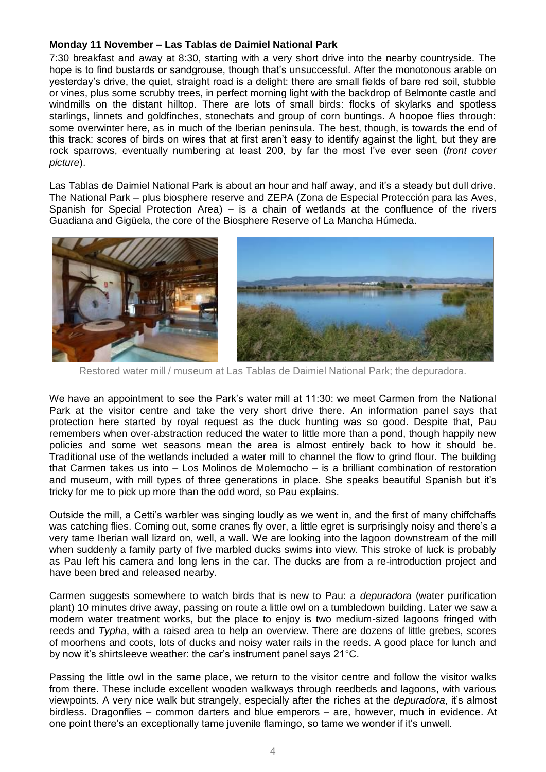# **Monday 11 November – Las Tablas de Daimiel National Park**

7:30 breakfast and away at 8:30, starting with a very short drive into the nearby countryside. The hope is to find bustards or sandgrouse, though that's unsuccessful. After the monotonous arable on yesterday's drive, the quiet, straight road is a delight: there are small fields of bare red soil, stubble or vines, plus some scrubby trees, in perfect morning light with the backdrop of Belmonte castle and windmills on the distant hilltop. There are lots of small birds: flocks of skylarks and spotless starlings, linnets and goldfinches, stonechats and group of corn buntings. A hoopoe flies through: some overwinter here, as in much of the Iberian peninsula. The best, though, is towards the end of this track: scores of birds on wires that at first aren't easy to identify against the light, but they are rock sparrows, eventually numbering at least 200, by far the most I've ever seen (*front cover picture*).

Las Tablas de Daimiel National Park is about an hour and half away, and it's a steady but dull drive. The National Park – plus biosphere reserve and ZEPA (Zona de Especial Protección para las Aves, Spanish for Special Protection Area) – is a chain of wetlands at the confluence of the rivers Guadiana and Gigüela, the core of the [Biosphere Reserve](http://en.wikipedia.org/wiki/Biosphere_reserve) of La [Mancha Húmeda.](http://en.wikipedia.org/wiki/Mancha_H%C3%BAmeda)



Restored water mill / museum at Las Tablas de Daimiel National Park; the depuradora.

We have an appointment to see the Park's water mill at 11:30: we meet Carmen from the National Park at the visitor centre and take the very short drive there. An information panel says that protection here started by royal request as the duck hunting was so good. Despite that, Pau remembers when over-abstraction reduced the water to little more than a pond, though happily new policies and some wet seasons mean the area is almost entirely back to how it should be. Traditional use of the wetlands included a water mill to channel the flow to grind flour. The building that Carmen takes us into – Los Molinos de Molemocho – is a brilliant combination of restoration and museum, with mill types of three generations in place. She speaks beautiful Spanish but it's tricky for me to pick up more than the odd word, so Pau explains.

Outside the mill, a Cetti's warbler was singing loudly as we went in, and the first of many chiffchaffs was catching flies. Coming out, some cranes fly over, a little egret is surprisingly noisy and there's a very tame Iberian wall lizard on, well, a wall. We are looking into the lagoon downstream of the mill when suddenly a family party of five marbled ducks swims into view. This stroke of luck is probably as Pau left his camera and long lens in the car. The ducks are from a re-introduction project and have been bred and released nearby.

Carmen suggests somewhere to watch birds that is new to Pau: a *depuradora* (water purification plant) 10 minutes drive away, passing on route a little owl on a tumbledown building. Later we saw a modern water treatment works, but the place to enjoy is two medium-sized lagoons fringed with reeds and *Typha*, with a raised area to help an overview. There are dozens of little grebes, scores of moorhens and coots, lots of ducks and noisy water rails in the reeds. A good place for lunch and by now it's shirtsleeve weather: the car's instrument panel says 21°C.

Passing the little owl in the same place, we return to the visitor centre and follow the visitor walks from there. These include excellent wooden walkways through reedbeds and lagoons, with various viewpoints. A very nice walk but strangely, especially after the riches at the *depuradora*, it's almost birdless. Dragonflies – common darters and blue emperors – are, however, much in evidence. At one point there's an exceptionally tame juvenile flamingo, so tame we wonder if it's unwell.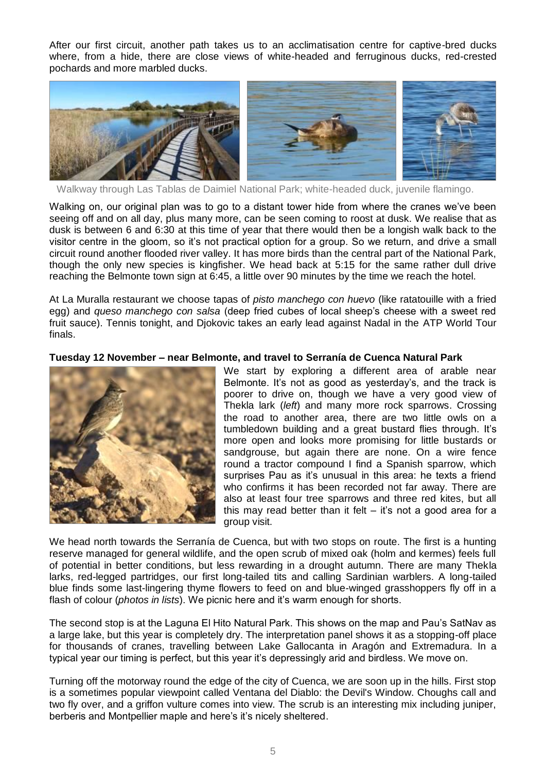After our first circuit, another path takes us to an acclimatisation centre for captive-bred ducks where, from a hide, there are close views of white-headed and ferruginous ducks, red-crested pochards and more marbled ducks.



Walkway through Las Tablas de Daimiel National Park; white-headed duck, juvenile flamingo.

Walking on, our original plan was to go to a distant tower hide from where the cranes we've been seeing off and on all day, plus many more, can be seen coming to roost at dusk. We realise that as dusk is between 6 and 6:30 at this time of year that there would then be a longish walk back to the visitor centre in the gloom, so it's not practical option for a group. So we return, and drive a small circuit round another flooded river valley. It has more birds than the central part of the National Park, though the only new species is kingfisher. We head back at 5:15 for the same rather dull drive reaching the Belmonte town sign at 6:45, a little over 90 minutes by the time we reach the hotel.

At La Muralla restaurant we choose tapas of *pisto manchego con huevo* (like ratatouille with a fried egg) and *queso manchego con salsa* (deep fried cubes of local sheep's cheese with a sweet red fruit sauce). Tennis tonight, and Djokovic takes an early lead against Nadal in the ATP World Tour finals.

# **Tuesday 12 November – near Belmonte, and travel to Serranía de Cuenca Natural Park**



We start by exploring a different area of arable near Belmonte. It's not as good as yesterday's, and the track is poorer to drive on, though we have a very good view of Thekla lark (*left*) and many more rock sparrows. Crossing the road to another area, there are two little owls on a tumbledown building and a great bustard flies through. It's more open and looks more promising for little bustards or sandgrouse, but again there are none. On a wire fence round a tractor compound I find a Spanish sparrow, which surprises Pau as it's unusual in this area: he texts a friend who confirms it has been recorded not far away. There are also at least four tree sparrows and three red kites, but all this may read better than it felt  $-$  it's not a good area for a group visit.

We head north towards the Serranía de Cuenca, but with two stops on route. The first is a hunting reserve managed for general wildlife, and the open scrub of mixed oak (holm and kermes) feels full of potential in better conditions, but less rewarding in a drought autumn. There are many Thekla larks, red-legged partridges, our first long-tailed tits and calling Sardinian warblers. A long-tailed blue finds some last-lingering thyme flowers to feed on and blue-winged grasshoppers fly off in a flash of colour (*photos in lists*). We picnic here and it's warm enough for shorts.

The second stop is at the Laguna El Hito Natural Park. This shows on the map and Pau's SatNav as a large lake, but this year is completely dry. The interpretation panel shows it as a stopping-off place for thousands of cranes, travelling between Lake Gallocanta in Aragón and Extremadura. In a typical year our timing is perfect, but this year it's depressingly arid and birdless. We move on.

Turning off the motorway round the edge of the city of Cuenca, we are soon up in the hills. First stop is a sometimes popular viewpoint called Ventana del Diablo: the Devil's Window. Choughs call and two fly over, and a griffon vulture comes into view. The scrub is an interesting mix including juniper, berberis and Montpellier maple and here's it's nicely sheltered.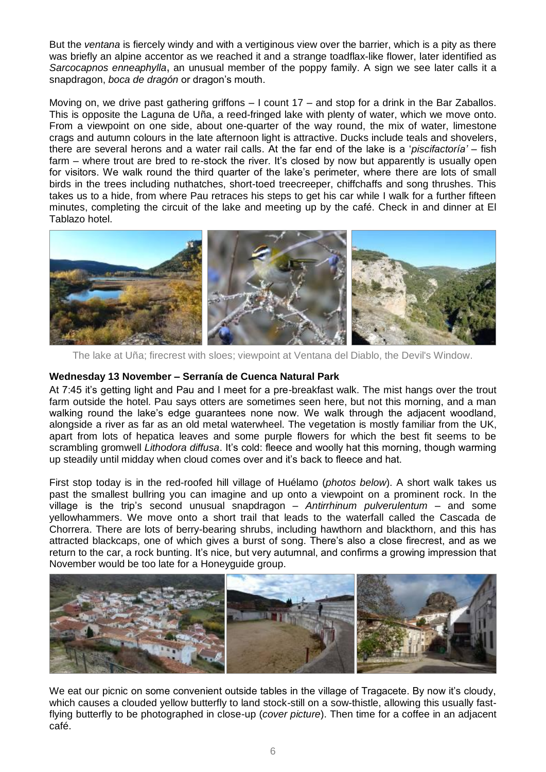But the *ventana* is fiercely windy and with a vertiginous view over the barrier, which is a pity as there was briefly an alpine accentor as we reached it and a strange toadflax-like flower, later identified as *Sarcocapnos enneaphylla***,** an unusual member of the poppy family. A sign we see later calls it a snapdragon, *boca de dragón* or dragon's mouth.

Moving on, we drive past gathering griffons – I count 17 – and stop for a drink in the Bar Zaballos. This is opposite the Laguna de Uña, a reed-fringed lake with plenty of water, which we move onto. From a viewpoint on one side, about one-quarter of the way round, the mix of water, limestone crags and autumn colours in the late afternoon light is attractive. Ducks include teals and shovelers, there are several herons and a water rail calls. At the far end of the lake is a '*piscifactoría'* – fish farm – where trout are bred to re-stock the river. It's closed by now but apparently is usually open for visitors. We walk round the third quarter of the lake's perimeter, where there are lots of small birds in the trees including nuthatches, short-toed treecreeper, chiffchaffs and song thrushes. This takes us to a hide, from where Pau retraces his steps to get his car while I walk for a further fifteen minutes, completing the circuit of the lake and meeting up by the café. Check in and dinner at El Tablazo hotel.



The lake at Uña; firecrest with sloes; viewpoint at Ventana del Diablo, the Devil's Window.

#### **Wednesday 13 November – Serranía de Cuenca Natural Park**

At 7:45 it's getting light and Pau and I meet for a pre-breakfast walk. The mist hangs over the trout farm outside the hotel. Pau says otters are sometimes seen here, but not this morning, and a man walking round the lake's edge guarantees none now. We walk through the adjacent woodland, alongside a river as far as an old metal waterwheel. The vegetation is mostly familiar from the UK, apart from lots of hepatica leaves and some purple flowers for which the best fit seems to be scrambling gromwell *Lithodora diffusa*. It's cold: fleece and woolly hat this morning, though warming up steadily until midday when cloud comes over and it's back to fleece and hat.

First stop today is in the red-roofed hill village of Huélamo (*photos below*). A short walk takes us past the smallest bullring you can imagine and up onto a viewpoint on a prominent rock. In the village is the trip's second unusual snapdragon – *Antirrhinum pulverulentum* – and some yellowhammers. We move onto a short trail that leads to the waterfall called the Cascada de Chorrera. There are lots of berry-bearing shrubs, including hawthorn and blackthorn, and this has attracted blackcaps, one of which gives a burst of song. There's also a close firecrest, and as we return to the car, a rock bunting. It's nice, but very autumnal, and confirms a growing impression that November would be too late for a Honeyguide group.



We eat our picnic on some convenient outside tables in the village of Tragacete. By now it's cloudy, which causes a clouded yellow butterfly to land stock-still on a sow-thistle, allowing this usually fastflying butterfly to be photographed in close-up (*cover picture*). Then time for a coffee in an adjacent café.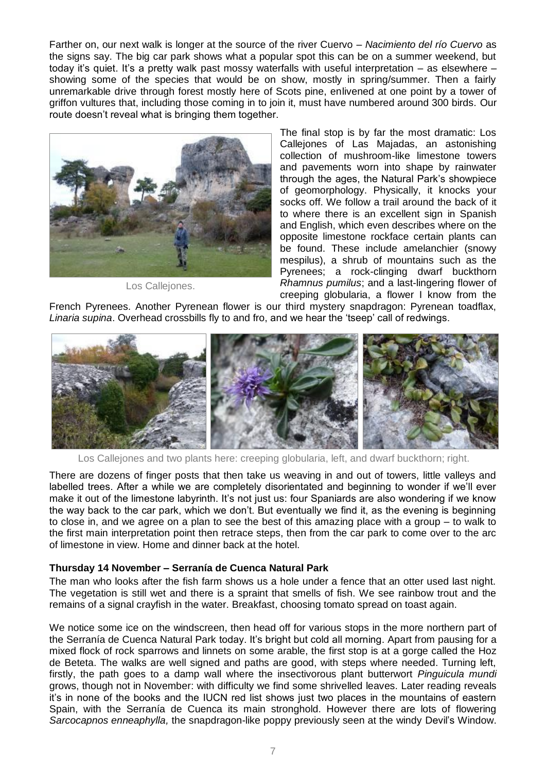Farther on, our next walk is longer at the source of the river Cuervo – *Nacimiento del río Cuervo* as the signs say. The big car park shows what a popular spot this can be on a summer weekend, but today it's quiet. It's a pretty walk past mossy waterfalls with useful interpretation – as elsewhere – showing some of the species that would be on show, mostly in spring/summer. Then a fairly unremarkable drive through forest mostly here of Scots pine, enlivened at one point by a tower of griffon vultures that, including those coming in to join it, must have numbered around 300 birds. Our route doesn't reveal what is bringing them together.



Los Callejones.

The final stop is by far the most dramatic: Los Callejones of Las Majadas, an astonishing collection of mushroom-like limestone towers and pavements worn into shape by rainwater through the ages, the Natural Park's showpiece of geomorphology. Physically, it knocks your socks off. We follow a trail around the back of it to where there is an excellent sign in Spanish and English, which even describes where on the opposite limestone rockface certain plants can be found. These include amelanchier (snowy mespilus), a shrub of mountains such as the Pyrenees; a rock-clinging dwarf buckthorn *Rhamnus pumilus*; and a last-lingering flower of creeping globularia, a flower I know from the

French Pyrenees. Another Pyrenean flower is our third mystery snapdragon: Pyrenean toadflax, *Linaria supina*. Overhead crossbills fly to and fro, and we hear the 'tseep' call of redwings.



Los Callejones and two plants here: creeping globularia, left, and dwarf buckthorn; right.

There are dozens of finger posts that then take us weaving in and out of towers, little valleys and labelled trees. After a while we are completely disorientated and beginning to wonder if we'll ever make it out of the limestone labyrinth. It's not just us: four Spaniards are also wondering if we know the way back to the car park, which we don't. But eventually we find it, as the evening is beginning to close in, and we agree on a plan to see the best of this amazing place with a group – to walk to the first main interpretation point then retrace steps, then from the car park to come over to the arc of limestone in view. Home and dinner back at the hotel.

# **Thursday 14 November – Serranía de Cuenca Natural Park**

The man who looks after the fish farm shows us a hole under a fence that an otter used last night. The vegetation is still wet and there is a spraint that smells of fish. We see rainbow trout and the remains of a signal crayfish in the water. Breakfast, choosing tomato spread on toast again.

We notice some ice on the windscreen, then head off for various stops in the more northern part of the Serranía de Cuenca Natural Park today. It's bright but cold all morning. Apart from pausing for a mixed flock of rock sparrows and linnets on some arable, the first stop is at a gorge called the Hoz de Beteta. The walks are well signed and paths are good, with steps where needed. Turning left, firstly, the path goes to a damp wall where the insectivorous plant butterwort *Pinguicula mundi* grows, though not in November: with difficulty we find some shrivelled leaves. Later reading reveals it's in none of the books and the IUCN red list shows just two places in the mountains of eastern Spain, with the Serranía de Cuenca its main stronghold. However there are lots of flowering *Sarcocapnos enneaphylla,* the snapdragon-like poppy previously seen at the windy Devil's Window.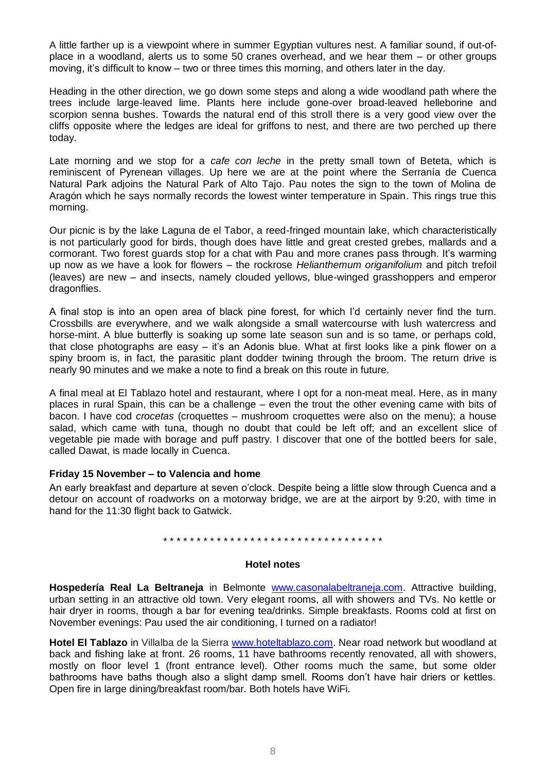A little farther up is a viewpoint where in summer Egyptian vultures nest. A familiar sound, if out-ofplace in a woodland, alerts us to some 50 cranes overhead, and we hear them – or other groups moving, it's difficult to know – two or three times this morning, and others later in the day.

Heading in the other direction, we go down some steps and along a wide woodland path where the trees include large-leaved lime. Plants here include gone-over broad-leaved helleborine and scorpion senna bushes. Towards the natural end of this stroll there is a very good view over the cliffs opposite where the ledges are ideal for griffons to nest, and there are two perched up there today.

Late morning and we stop for a *cafe con leche* in the pretty small town of Beteta, which is reminiscent of Pyrenean villages. Up here we are at the point where the Serranía de Cuenca Natural Park adjoins the Natural Park of Alto Tajo. Pau notes the sign to the town of Molina de Aragón which he says normally records the lowest winter temperature in Spain. This rings true this morning.

Our picnic is by the lake Laguna de el Tabor, a reed-fringed mountain lake, which characteristically is not particularly good for birds, though does have little and great crested grebes, mallards and a cormorant. Two forest guards stop for a chat with Pau and more cranes pass through. It's warming up now as we have a look for flowers – the rockrose *Helianthemum origanifolium* and pitch trefoil (leaves) are new – and insects, namely clouded yellows, blue-winged grasshoppers and emperor dragonflies.

A final stop is into an open area of black pine forest, for which I'd certainly never find the turn. Crossbills are everywhere, and we walk alongside a small watercourse with lush watercress and horse-mint. A blue butterfly is soaking up some late season sun and is so tame, or perhaps cold, that close photographs are easy – it's an Adonis blue. What at first looks like a pink flower on a spiny broom is, in fact, the parasitic plant dodder twining through the broom. The return drive is nearly 90 minutes and we make a note to find a break on this route in future.

A final meal at El Tablazo hotel and restaurant, where I opt for a non-meat meal. Here, as in many places in rural Spain, this can be a challenge – even the trout the other evening came with bits of bacon. I have cod *crocetas* (croquettes – mushroom croquettes were also on the menu); a house salad, which came with tuna, though no doubt that could be left off; and an excellent slice of vegetable pie made with borage and puff pastry. I discover that one of the bottled beers for sale, called Dawat, is made locally in Cuenca.

# **Friday 15 November – to Valencia and home**

An early breakfast and departure at seven o'clock. Despite being a little slow through Cuenca and a detour on account of roadworks on a motorway bridge, we are at the airport by 9:20, with time in hand for the 11:30 flight back to Gatwick.

#### \* \* \* \* \* \* \* \* \* \* \* \* \* \* \* \* \* \* \* \* \* \* \* \* \* \* \* \* \* \* \* \* \*

#### **Hotel notes**

**Hospedería Real La Beltraneja** in Belmonte [www.casonalabeltraneja.com.](http://www.casonalabeltraneja.com/) Attractive building, urban setting in an attractive old town. Very elegant rooms, all with showers and TVs. No kettle or hair dryer in rooms, though a bar for evening tea/drinks. Simple breakfasts. Rooms cold at first on November evenings: Pau used the air conditioning, I turned on a radiator!

**Hotel El Tablazo** in Villalba de la Sierra [www.hoteltablazo.com.](http://www.hoteltablazo.com/) Near road network but woodland at back and fishing lake at front. 26 rooms, 11 have bathrooms recently renovated, all with showers, mostly on floor level 1 (front entrance level). Other rooms much the same, but some older bathrooms have baths though also a slight damp smell. Rooms don't have hair driers or kettles. Open fire in large dining/breakfast room/bar. Both hotels have WiFi.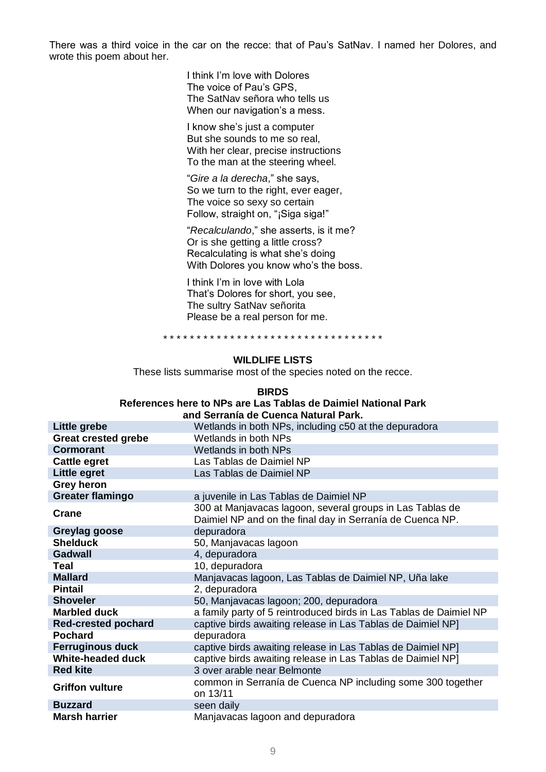There was a third voice in the car on the recce: that of Pau's SatNav. I named her Dolores, and wrote this poem about her.

> I think I'm love with Dolores The voice of Pau's GPS, The SatNav señora who tells us When our navigation's a mess.

I know she's just a computer But she sounds to me so real, With her clear, precise instructions To the man at the steering wheel.

"*Gire a la derecha*," she says, So we turn to the right, ever eager, The voice so sexy so certain Follow, straight on, "¡Siga siga!"

"*Recalculando*," she asserts, is it me? Or is she getting a little cross? Recalculating is what she's doing With Dolores you know who's the boss.

I think I'm in love with Lola That's Dolores for short, you see, The sultry SatNav señorita Please be a real person for me.

\* \* \* \* \* \* \* \* \* \* \* \* \* \* \* \* \* \* \* \* \* \* \* \* \* \* \* \* \* \* \* \* \*

# **WILDLIFE LISTS**

These lists summarise most of the species noted on the recce.

#### **BIRDS**

#### **References here to NPs are Las Tablas de Daimiel National Park and Serranía de Cuenca Natural Park.**

|                            | and Ochama de Odenca Ratural I ans.                                                                                    |
|----------------------------|------------------------------------------------------------------------------------------------------------------------|
| Little grebe               | Wetlands in both NPs, including c50 at the depuradora                                                                  |
| <b>Great crested grebe</b> | Wetlands in both NPs                                                                                                   |
| <b>Cormorant</b>           | Wetlands in both NPs                                                                                                   |
| Cattle egret               | Las Tablas de Daimiel NP                                                                                               |
| Little egret               | Las Tablas de Daimiel NP                                                                                               |
| <b>Grey heron</b>          |                                                                                                                        |
| <b>Greater flamingo</b>    | a juvenile in Las Tablas de Daimiel NP                                                                                 |
| <b>Crane</b>               | 300 at Manjavacas lagoon, several groups in Las Tablas de<br>Daimiel NP and on the final day in Serranía de Cuenca NP. |
| Greylag goose              | depuradora                                                                                                             |
| <b>Shelduck</b>            | 50, Manjavacas lagoon                                                                                                  |
| <b>Gadwall</b>             | 4, depuradora                                                                                                          |
| Teal                       | 10, depuradora                                                                                                         |
| <b>Mallard</b>             | Manjavacas lagoon, Las Tablas de Daimiel NP, Uña lake                                                                  |
| <b>Pintail</b>             | 2, depuradora                                                                                                          |
| <b>Shoveler</b>            | 50, Manjavacas lagoon; 200, depuradora                                                                                 |
| <b>Marbled duck</b>        | a family party of 5 reintroduced birds in Las Tablas de Daimiel NP                                                     |
| <b>Red-crested pochard</b> | captive birds awaiting release in Las Tablas de Daimiel NP]                                                            |
| <b>Pochard</b>             | depuradora                                                                                                             |
| <b>Ferruginous duck</b>    | captive birds awaiting release in Las Tablas de Daimiel NP]                                                            |
| <b>White-headed duck</b>   | captive birds awaiting release in Las Tablas de Daimiel NP]                                                            |
| <b>Red kite</b>            | 3 over arable near Belmonte                                                                                            |
| <b>Griffon vulture</b>     | common in Serranía de Cuenca NP including some 300 together<br>on 13/11                                                |
| <b>Buzzard</b>             | seen daily                                                                                                             |
| <b>Marsh harrier</b>       | Manjavacas lagoon and depuradora                                                                                       |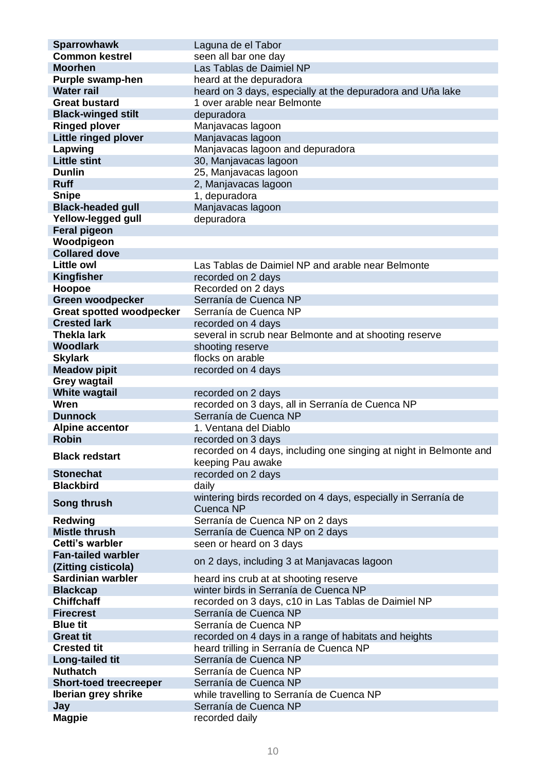| <b>Sparrowhawk</b>              | Laguna de el Tabor                                                 |
|---------------------------------|--------------------------------------------------------------------|
| <b>Common kestrel</b>           | seen all bar one day                                               |
| <b>Moorhen</b>                  | Las Tablas de Daimiel NP                                           |
| Purple swamp-hen                | heard at the depuradora                                            |
| <b>Water rail</b>               | heard on 3 days, especially at the depuradora and Uña lake         |
| <b>Great bustard</b>            | 1 over arable near Belmonte                                        |
| <b>Black-winged stilt</b>       | depuradora                                                         |
| <b>Ringed plover</b>            | Manjavacas lagoon                                                  |
| <b>Little ringed plover</b>     | Manjavacas lagoon                                                  |
| Lapwing                         | Manjavacas lagoon and depuradora                                   |
| <b>Little stint</b>             | 30, Manjavacas lagoon                                              |
| <b>Dunlin</b>                   | 25, Manjavacas lagoon                                              |
| <b>Ruff</b>                     | 2, Manjavacas lagoon                                               |
| <b>Snipe</b>                    | 1, depuradora                                                      |
| <b>Black-headed gull</b>        | Manjavacas lagoon                                                  |
| Yellow-legged gull              | depuradora                                                         |
| <b>Feral pigeon</b>             |                                                                    |
| Woodpigeon                      |                                                                    |
| <b>Collared dove</b>            |                                                                    |
| <b>Little owl</b>               | Las Tablas de Daimiel NP and arable near Belmonte                  |
| Kingfisher                      | recorded on 2 days                                                 |
| Hoopoe                          | Recorded on 2 days                                                 |
| <b>Green woodpecker</b>         | Serranía de Cuenca NP                                              |
| <b>Great spotted woodpecker</b> | Serranía de Cuenca NP                                              |
| <b>Crested lark</b>             | recorded on 4 days                                                 |
| <b>Thekla lark</b>              | several in scrub near Belmonte and at shooting reserve             |
| <b>Woodlark</b>                 | shooting reserve                                                   |
| <b>Skylark</b>                  | flocks on arable                                                   |
| <b>Meadow pipit</b>             | recorded on 4 days                                                 |
| <b>Grey wagtail</b>             |                                                                    |
| <b>White wagtail</b>            | recorded on 2 days                                                 |
| Wren                            | recorded on 3 days, all in Serranía de Cuenca NP                   |
| <b>Dunnock</b>                  | Serranía de Cuenca NP                                              |
| <b>Alpine accentor</b>          | 1. Ventana del Diablo                                              |
| <b>Robin</b>                    | recorded on 3 days                                                 |
| <b>Black redstart</b>           | recorded on 4 days, including one singing at night in Belmonte and |
|                                 | keeping Pau awake                                                  |
| <b>Stonechat</b>                | recorded on 2 days                                                 |
| <b>Blackbird</b>                | daily                                                              |
|                                 | wintering birds recorded on 4 days, especially in Serranía de      |
| Song thrush                     | Cuenca NP                                                          |
| <b>Redwing</b>                  | Serranía de Cuenca NP on 2 days                                    |
| <b>Mistle thrush</b>            | Serranía de Cuenca NP on 2 days                                    |
| Cetti's warbler                 | seen or heard on 3 days                                            |
| <b>Fan-tailed warbler</b>       | on 2 days, including 3 at Manjavacas lagoon                        |
| (Zitting cisticola)             |                                                                    |
| Sardinian warbler               | heard ins crub at at shooting reserve                              |
| <b>Blackcap</b>                 | winter birds in Serranía de Cuenca NP                              |
| <b>Chiffchaff</b>               | recorded on 3 days, c10 in Las Tablas de Daimiel NP                |
| <b>Firecrest</b>                | Serranía de Cuenca NP                                              |
| <b>Blue tit</b>                 | Serranía de Cuenca NP                                              |
| <b>Great tit</b>                | recorded on 4 days in a range of habitats and heights              |
| <b>Crested tit</b>              | heard trilling in Serranía de Cuenca NP                            |
| Long-tailed tit                 | Serranía de Cuenca NP                                              |
| <b>Nuthatch</b>                 | Serranía de Cuenca NP                                              |
| <b>Short-toed treecreeper</b>   | Serranía de Cuenca NP                                              |
| Iberian grey shrike             | while travelling to Serranía de Cuenca NP                          |
| Jay                             | Serranía de Cuenca NP                                              |
| <b>Magpie</b>                   | recorded daily                                                     |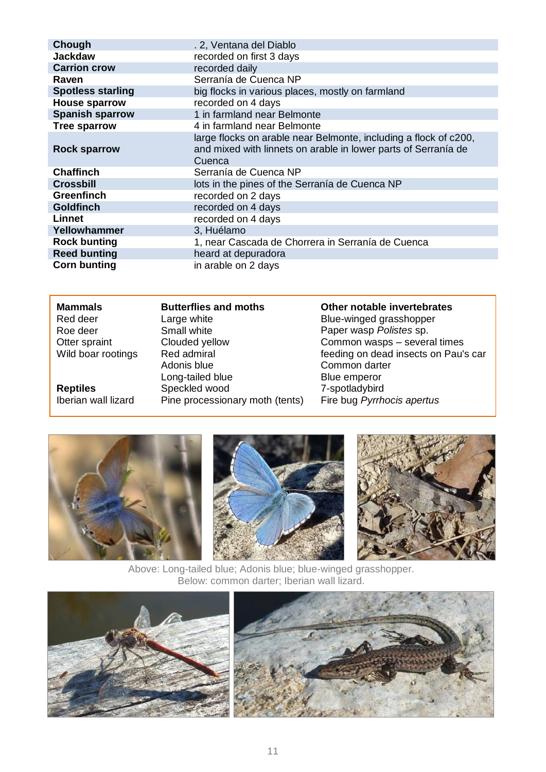| Chough                   | . 2, Ventana del Diablo                                                                                                                      |
|--------------------------|----------------------------------------------------------------------------------------------------------------------------------------------|
| <b>Jackdaw</b>           | recorded on first 3 days                                                                                                                     |
| <b>Carrion crow</b>      | recorded daily                                                                                                                               |
| Raven                    | Serranía de Cuenca NP                                                                                                                        |
| <b>Spotless starling</b> | big flocks in various places, mostly on farmland                                                                                             |
| <b>House sparrow</b>     | recorded on 4 days                                                                                                                           |
| <b>Spanish sparrow</b>   | 1 in farmland near Belmonte                                                                                                                  |
| <b>Tree sparrow</b>      | 4 in farmland near Belmonte                                                                                                                  |
| <b>Rock sparrow</b>      | large flocks on arable near Belmonte, including a flock of c200,<br>and mixed with linnets on arable in lower parts of Serranía de<br>Cuenca |
| <b>Chaffinch</b>         | Serranía de Cuenca NP                                                                                                                        |
| <b>Crossbill</b>         | lots in the pines of the Serranía de Cuenca NP                                                                                               |
| <b>Greenfinch</b>        | recorded on 2 days                                                                                                                           |
| <b>Goldfinch</b>         | recorded on 4 days                                                                                                                           |
| Linnet                   | recorded on 4 days                                                                                                                           |
| Yellowhammer             | 3, Huélamo                                                                                                                                   |
| <b>Rock bunting</b>      | 1, near Cascada de Chorrera in Serranía de Cuenca                                                                                            |
| <b>Reed bunting</b>      | heard at depuradora                                                                                                                          |
| <b>Corn bunting</b>      | in arable on 2 days                                                                                                                          |

| <b>Mammals</b>      | <b>Butterflies and moths</b>    | Other notable invertebrates          |
|---------------------|---------------------------------|--------------------------------------|
| Red deer            | Large white                     | Blue-winged grasshopper              |
| Roe deer            | Small white                     | Paper wasp Polistes sp.              |
| Otter spraint       | Clouded yellow                  | Common wasps - several times         |
| Wild boar rootings  | Red admiral                     | feeding on dead insects on Pau's car |
|                     | Adonis blue                     | Common darter                        |
|                     | Long-tailed blue                | Blue emperor                         |
| <b>Reptiles</b>     | Speckled wood                   | 7-spotladybird                       |
| Iberian wall lizard | Pine processionary moth (tents) | Fire bug Pyrrhocis apertus           |



Above: Long-tailed blue; Adonis blue; blue-winged grasshopper. Below: common darter; Iberian wall lizard.



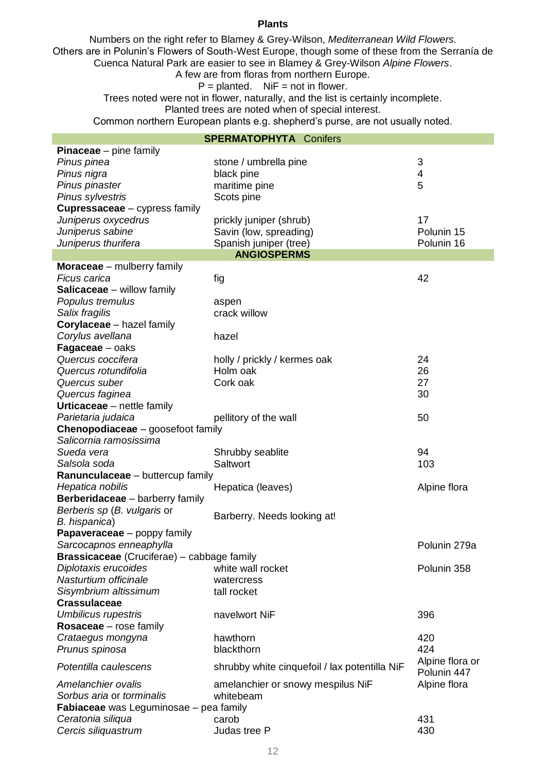#### **Plants**

Numbers on the right refer to Blamey & Grey-Wilson, *Mediterranean Wild Flowers.* Others are in Polunin's Flowers of South-West Europe, though some of these from the Serranía de Cuenca Natural Park are easier to see in Blamey & Grey-Wilson *Alpine Flowers*.

# A few are from floras from northern Europe.

 $P =$  planted. NiF = not in flower.

Trees noted were not in flower, naturally, and the list is certainly incomplete. Planted trees are noted when of special interest.

Common northern European plants e.g. shepherd's purse, are not usually noted.

# **SPERMATOPHYTA** Conifers

|                                                   | UU LINNAI UI III IA CUIIIEIS                  |                         |
|---------------------------------------------------|-----------------------------------------------|-------------------------|
| <b>Pinaceae</b> $-$ pine family                   |                                               |                         |
| Pinus pinea                                       | stone / umbrella pine                         | 3                       |
| Pinus nigra                                       | black pine                                    | $\overline{\mathbf{4}}$ |
| Pinus pinaster                                    | maritime pine                                 | 5                       |
| Pinus sylvestris                                  | Scots pine                                    |                         |
| <b>Cupressaceae</b> - cypress family              |                                               |                         |
| Juniperus oxycedrus                               | prickly juniper (shrub)                       | 17                      |
| Juniperus sabine                                  | Savin (low, spreading)                        | Polunin 15              |
| Juniperus thurifera                               | Spanish juniper (tree)                        | Polunin 16              |
|                                                   | <b>ANGIOSPERMS</b>                            |                         |
| <b>Moraceae</b> – mulberry family                 |                                               |                         |
| Ficus carica                                      | fig                                           | 42                      |
| <b>Salicaceae</b> – willow family                 |                                               |                         |
| Populus tremulus                                  | aspen                                         |                         |
| Salix fragilis                                    | crack willow                                  |                         |
| Corylaceae - hazel family                         |                                               |                         |
| Corylus avellana                                  | hazel                                         |                         |
| Fagaceae - oaks                                   |                                               |                         |
| Quercus coccifera                                 | holly / prickly / kermes oak                  | 24                      |
| Quercus rotundifolia                              | Holm oak                                      | 26                      |
| Quercus suber                                     | Cork oak                                      | 27                      |
| Quercus faginea                                   |                                               | 30                      |
| <b>Urticaceae</b> – nettle family                 |                                               |                         |
| Parietaria judaica                                | pellitory of the wall                         | 50                      |
| Chenopodiaceae - goosefoot family                 |                                               |                         |
| Salicornia ramosissima                            |                                               |                         |
| Sueda vera                                        | Shrubby seablite                              | 94                      |
| Salsola soda                                      | Saltwort                                      | 103                     |
| Ranunculaceae - buttercup family                  |                                               |                         |
| Hepatica nobilis                                  | Hepatica (leaves)                             | Alpine flora            |
| Berberidaceae - barberry family                   |                                               |                         |
| Berberis sp (B. vulgaris or                       |                                               |                         |
| B. hispanica)                                     | Barberry. Needs looking at!                   |                         |
| <b>Papaveraceae</b> – poppy family                |                                               |                         |
| Sarcocapnos enneaphylla                           |                                               | Polunin 279a            |
| <b>Brassicaceae</b> (Cruciferae) – cabbage family |                                               |                         |
| Diplotaxis erucoides                              | white wall rocket                             | Polunin 358             |
| Nasturtium officinale                             | watercress                                    |                         |
| Sisymbrium altissimum                             | tall rocket                                   |                         |
| <b>Crassulaceae</b>                               |                                               |                         |
| <b>Umbilicus rupestris</b>                        | navelwort NiF                                 | 396                     |
| <b>Rosaceae</b> – rose family                     |                                               |                         |
| Crataegus mongyna                                 | hawthorn                                      | 420                     |
| Prunus spinosa                                    | blackthorn                                    | 424                     |
|                                                   |                                               | Alpine flora or         |
| Potentilla caulescens                             | shrubby white cinquefoil / lax potentilla NiF | Polunin 447             |
| Amelanchier ovalis                                | amelanchier or snowy mespilus NiF             | Alpine flora            |
| Sorbus aria or torminalis                         | whitebeam                                     |                         |
| <b>Fabiaceae</b> was Leguminosae - pea family     |                                               |                         |
| Ceratonia siliqua                                 | carob                                         | 431                     |
| Cercis siliquastrum                               | Judas tree P                                  | 430                     |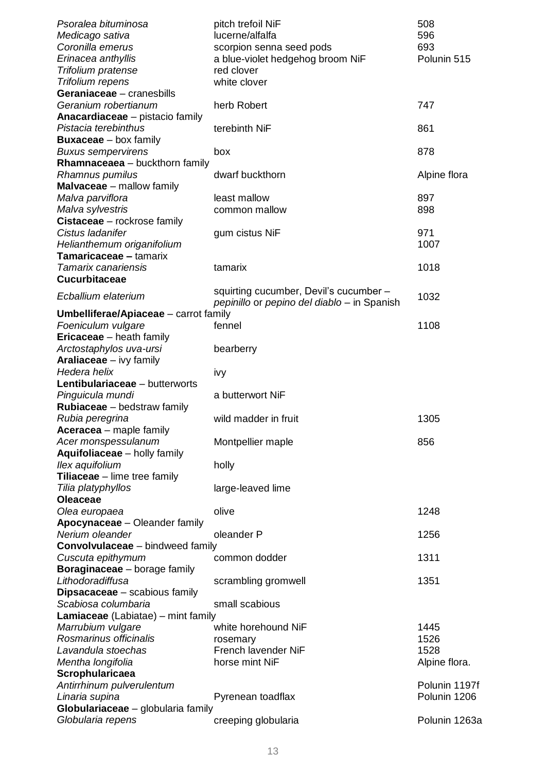| Psoralea bituminosa                          | pitch trefoil NiF                                                                     | 508           |
|----------------------------------------------|---------------------------------------------------------------------------------------|---------------|
| Medicago sativa                              | lucerne/alfalfa                                                                       | 596           |
| Coronilla emerus                             | scorpion senna seed pods                                                              | 693           |
| Erinacea anthyllis                           | a blue-violet hedgehog broom NiF                                                      | Polunin 515   |
| Trifolium pratense                           | red clover                                                                            |               |
| Trifolium repens                             | white clover                                                                          |               |
| Geraniaceae - cranesbills                    |                                                                                       |               |
| Geranium robertianum                         | herb Robert                                                                           | 747           |
| Anacardiaceae - pistacio family              |                                                                                       |               |
| Pistacia terebinthus                         | terebinth NiF                                                                         | 861           |
| <b>Buxaceae</b> – box family                 |                                                                                       |               |
|                                              |                                                                                       | 878           |
| <b>Buxus sempervirens</b>                    | box                                                                                   |               |
| <b>Rhamnaceaea</b> - buckthorn family        |                                                                                       |               |
| Rhamnus pumilus                              | dwarf buckthorn                                                                       | Alpine flora  |
| <b>Malvaceae</b> – mallow family             |                                                                                       |               |
| Malva parviflora                             | least mallow                                                                          | 897           |
| Malva sylvestris                             | common mallow                                                                         | 898           |
| Cistaceae - rockrose family                  |                                                                                       |               |
| Cistus ladanifer                             | gum cistus NiF                                                                        | 971           |
| Helianthemum origanifolium                   |                                                                                       | 1007          |
| Tamaricaceae - tamarix                       |                                                                                       |               |
| Tamarix canariensis                          | tamarix                                                                               | 1018          |
| <b>Cucurbitaceae</b>                         |                                                                                       |               |
| Ecballium elaterium                          | squirting cucumber, Devil's cucumber -<br>pepinillo or pepino del diablo - in Spanish | 1032          |
| <b>Umbelliferae/Apiaceae</b> – carrot family |                                                                                       |               |
| Foeniculum vulgare                           | fennel                                                                                | 1108          |
| <b>Ericaceae</b> – heath family              |                                                                                       |               |
| Arctostaphylos uva-ursi                      | bearberry                                                                             |               |
| <b>Araliaceae</b> – ivy family               |                                                                                       |               |
| Hedera helix                                 | ivy                                                                                   |               |
| Lentibulariaceae - butterworts               |                                                                                       |               |
| Pinguicula mundi                             | a butterwort NiF                                                                      |               |
| Rubiaceae - bedstraw family                  |                                                                                       |               |
|                                              |                                                                                       |               |
| Rubia peregrina                              | wild madder in fruit                                                                  | 1305          |
| Aceracea - maple family                      |                                                                                       |               |
| Acer monspessulanum                          | Montpellier maple                                                                     | 856           |
| Aquifoliaceae - holly family                 |                                                                                       |               |
| Ilex aquifolium                              | holly                                                                                 |               |
| Tiliaceae - lime tree family                 |                                                                                       |               |
| Tilia platyphyllos                           | large-leaved lime                                                                     |               |
| <b>Oleaceae</b>                              |                                                                                       |               |
| Olea europaea                                | olive                                                                                 | 1248          |
| Apocynaceae - Oleander family                |                                                                                       |               |
| Nerium oleander                              | oleander P                                                                            | 1256          |
| <b>Convolvulaceae</b> – bindweed family      |                                                                                       |               |
| Cuscuta epithymum                            | common dodder                                                                         | 1311          |
| Boraginaceae - borage family                 |                                                                                       |               |
| Lithodoradiffusa                             | scrambling gromwell                                                                   | 1351          |
| <b>Dipsacaceae</b> – scabious family         |                                                                                       |               |
| Scabiosa columbaria                          | small scabious                                                                        |               |
| Lamiaceae (Labiatae) – mint family           |                                                                                       |               |
| Marrubium vulgare                            | white horehound NiF                                                                   | 1445          |
| Rosmarinus officinalis                       |                                                                                       | 1526          |
| Lavandula stoechas                           | rosemary                                                                              | 1528          |
|                                              | French lavender NiF                                                                   |               |
| Mentha longifolia                            | horse mint NiF                                                                        | Alpine flora. |
| Scrophularicaea                              |                                                                                       |               |
| Antirrhinum pulverulentum                    |                                                                                       | Polunin 1197f |
| Linaria supina                               | Pyrenean toadflax                                                                     | Polunin 1206  |
| Globulariaceae - globularia family           |                                                                                       |               |
| Globularia repens                            | creeping globularia                                                                   | Polunin 1263a |